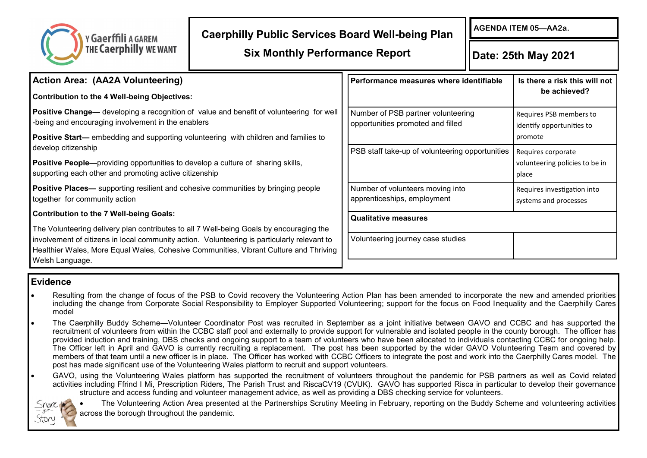| Y Gaerffili A GAREM<br>THE Caerphilly WE WANT                                                                                                                                                                                                                                                      | <b>Caerphilly Public Services Board Well-being Plan</b> |                                                                         | <b>AGENDA ITEM 05-AA2a.</b> |                                                      |
|----------------------------------------------------------------------------------------------------------------------------------------------------------------------------------------------------------------------------------------------------------------------------------------------------|---------------------------------------------------------|-------------------------------------------------------------------------|-----------------------------|------------------------------------------------------|
|                                                                                                                                                                                                                                                                                                    | <b>Six Monthly Performance Report</b>                   |                                                                         | Date: 25th May 2021         |                                                      |
| <b>Action Area: (AA2A Volunteering)</b>                                                                                                                                                                                                                                                            |                                                         | Performance measures where identifiable                                 |                             | Is there a risk this will not                        |
| <b>Contribution to the 4 Well-being Objectives:</b>                                                                                                                                                                                                                                                |                                                         |                                                                         |                             | be achieved?                                         |
| Positive Change— developing a recognition of value and benefit of volunteering for well<br>-being and encouraging involvement in the enablers                                                                                                                                                      |                                                         | Number of PSB partner volunteering<br>opportunities promoted and filled |                             | Requires PSB members to<br>identify opportunities to |
| Positive Start- embedding and supporting volunteering with children and families to<br>develop citizenship                                                                                                                                                                                         |                                                         |                                                                         |                             | promote                                              |
|                                                                                                                                                                                                                                                                                                    |                                                         | PSB staff take-up of volunteering opportunities                         |                             | Requires corporate                                   |
| <b>Positive People—</b> providing opportunities to develop a culture of sharing skills,<br>supporting each other and promoting active citizenship                                                                                                                                                  |                                                         |                                                                         |                             | volunteering policies to be in<br>place              |
| <b>Positive Places—</b> supporting resilient and cohesive communities by bringing people<br>together for community action                                                                                                                                                                          |                                                         | Number of volunteers moving into<br>apprenticeships, employment         |                             | Requires investigation into<br>systems and processes |
| <b>Contribution to the 7 Well-being Goals:</b>                                                                                                                                                                                                                                                     |                                                         | <b>Qualitative measures</b>                                             |                             |                                                      |
| The Volunteering delivery plan contributes to all 7 Well-being Goals by encouraging the<br>involvement of citizens in local community action. Volunteering is particularly relevant to<br>Healthier Wales, More Equal Wales, Cohesive Communities, Vibrant Culture and Thriving<br>Welsh Language. |                                                         |                                                                         |                             |                                                      |
|                                                                                                                                                                                                                                                                                                    |                                                         | Volunteering journey case studies                                       |                             |                                                      |

## **Evidence**

- Resulting from the change of focus of the PSB to Covid recovery the Volunteering Action Plan has been amended to incorporate the new and amended priorities including the change from Corporate Social Responsibility to Employer Supported Volunteering; support for the focus on Food Inequality and the Caerphilly Cares model
- The Caerphilly Buddy Scheme—Volunteer Coordinator Post was recruited in September as a joint initiative between GAVO and CCBC and has supported the recruitment of volunteers from within the CCBC staff pool and externally to provide support for vulnerable and isolated people in the county borough. The officer has provided induction and training, DBS checks and ongoing support to a team of volunteers who have been allocated to individuals contacting CCBC for ongoing help. The Officer left in April and GAVO is currently recruiting a replacement. The post has been supported by the wider GAVO Volunteering Team and covered by members of that team until a new officer is in place. The Officer has worked with CCBC Officers to integrate the post and work into the Caerphilly Cares model. The post has made significant use of the Volunteering Wales platform to recruit and support volunteers.
- GAVO, using the Volunteering Wales platform has supported the recruitment of volunteers throughout the pandemic for PSB partners as well as Covid related activities including Ffrind I Mi, Prescription Riders, The Parish Trust and RiscaCV19 (CVUK). GAVO has supported Risca in particular to develop their governance structure and access funding and volunteer management advice, as well as providing a DBS checking service for volunteers.



• The Volunteering Action Area presented at the Partnerships Scrutiny Meeting in February, reporting on the Buddy Scheme and volunteering activities across the borough throughout the pandemic.